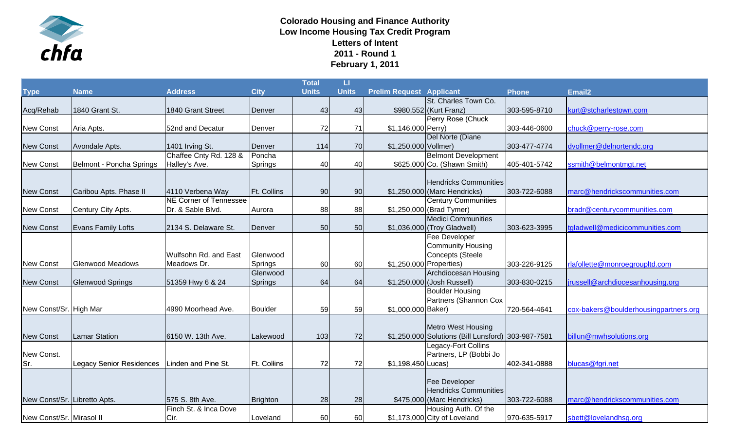

## **Colorado Housing and Finance Authority Low Income Housing Tax Credit Program Letters of Intent 2011 - Round 1 February 1, 2011**

|                              |                                 |                               |                    | Total        | Ш            |                                 |                                                    |              |                                       |
|------------------------------|---------------------------------|-------------------------------|--------------------|--------------|--------------|---------------------------------|----------------------------------------------------|--------------|---------------------------------------|
| <b>Type</b>                  | <b>Name</b>                     | <b>Address</b>                | <b>City</b>        | <b>Units</b> | <b>Units</b> | <b>Prelim Request Applicant</b> |                                                    | <b>Phone</b> | Email <sub>2</sub>                    |
|                              |                                 |                               |                    |              |              |                                 | St. Charles Town Co.                               |              |                                       |
| Acq/Rehab                    | 1840 Grant St.                  | 1840 Grant Street             | Denver             | 43           | 43           |                                 | \$980,552 (Kurt Franz)                             | 303-595-8710 | kurt@stcharlestown.com                |
|                              |                                 |                               |                    |              |              |                                 | Perry Rose (Chuck                                  |              |                                       |
| <b>New Const</b>             | Aria Apts.                      | 52nd and Decatur              | Denver             | 72           | 71           | \$1,146,000 Perry)              |                                                    | 303-446-0600 | chuck@perry-rose.com                  |
|                              |                                 |                               |                    |              |              |                                 | Del Norte (Diane                                   |              |                                       |
| <b>New Const</b>             | Avondale Apts.                  | 1401 Irving St.               | Denver             | 114          | 70           | \$1,250,000 Vollmer)            |                                                    | 303-477-4774 | dvollmer@delnortendc.org              |
|                              |                                 | Chaffee Cnty Rd. 128 &        | Poncha             |              |              |                                 | <b>Belmont Development</b>                         |              |                                       |
| <b>New Const</b>             | Belmont - Poncha Springs        | Halley's Ave.                 | Springs            | 40           | 40           |                                 | \$625,000 Co. (Shawn Smith)                        | 405-401-5742 | ssmith@belmontmgt.net                 |
|                              |                                 |                               |                    |              |              |                                 |                                                    |              |                                       |
|                              |                                 |                               |                    |              |              |                                 | <b>Hendricks Communities</b>                       |              |                                       |
| <b>New Const</b>             | Caribou Apts. Phase II          | 4110 Verbena Way              | <b>Ft. Collins</b> | 90           | 90           |                                 | \$1,250,000 (Marc Hendricks)                       | 303-722-6088 | marc@hendrickscommunities.com         |
|                              |                                 | <b>NE Corner of Tennessee</b> |                    |              |              |                                 | <b>Century Communities</b>                         |              |                                       |
| <b>New Const</b>             | Century City Apts.              | Dr. & Sable Blvd.             | Aurora             | 88           | 88           |                                 | \$1,250,000 (Brad Tymer)                           |              | bradr@centurycommunities.com          |
|                              |                                 |                               |                    |              |              |                                 | <b>Medici Communities</b>                          |              |                                       |
| <b>New Const</b>             | <b>Evans Family Lofts</b>       | 2134 S. Delaware St.          | Denver             | 50           | 50           |                                 | \$1,036,000 (Troy Gladwell)                        | 303-623-3995 | tgladwell@medicicommunities.com       |
|                              |                                 |                               |                    |              |              |                                 | Fee Developer                                      |              |                                       |
|                              |                                 |                               |                    |              |              |                                 | <b>Community Housing</b>                           |              |                                       |
|                              |                                 | Wulfsohn Rd. and East         | Glenwood           |              |              |                                 | Concepts (Steele                                   |              |                                       |
| <b>New Const</b>             | <b>Glenwood Meadows</b>         | Meadows Dr.                   | Springs            | 60           | 60           | \$1,250,000 Properties)         |                                                    | 303-226-9125 | rlafollette@monroegroupltd.com        |
|                              |                                 |                               | Glenwood           |              |              |                                 | Archdiocesan Housing                               |              |                                       |
| <b>New Const</b>             | <b>Glenwood Springs</b>         | 51359 Hwy 6 & 24              | Springs            | 64           | 64           |                                 | \$1,250,000 (Josh Russell)                         | 303-830-0215 | jrussell@archdiocesanhousing.org      |
|                              |                                 |                               |                    |              |              |                                 | <b>Boulder Housing</b>                             |              |                                       |
|                              |                                 |                               |                    |              |              |                                 | Partners (Shannon Cox                              |              |                                       |
| New Const/Sr. High Mar       |                                 | 4990 Moorhead Ave.            | <b>Boulder</b>     | 59           | 59           | \$1,000,000 Baker)              |                                                    | 720-564-4641 | cox-bakers@boulderhousingpartners.org |
|                              |                                 |                               |                    |              |              |                                 |                                                    |              |                                       |
|                              |                                 |                               |                    |              |              |                                 | <b>Metro West Housing</b>                          |              |                                       |
| <b>New Const</b>             | <b>Lamar Station</b>            | 6150 W. 13th Ave.             | Lakewood           | 103          | 72           |                                 | \$1,250,000 Solutions (Bill Lunsford) 303-987-7581 |              | billun@mwhsolutions.org               |
|                              |                                 |                               |                    |              |              |                                 | Legacy-Fort Collins                                |              |                                       |
| New Const.                   |                                 |                               |                    |              |              |                                 | Partners, LP (Bobbi Jo                             |              |                                       |
| Sr.                          | <b>Legacy Senior Residences</b> | Linden and Pine St.           | <b>Ft. Collins</b> | 72           | 72           | \$1,198,450 Lucas)              |                                                    | 402-341-0888 | blucas@fgri.net                       |
|                              |                                 |                               |                    |              |              |                                 |                                                    |              |                                       |
|                              |                                 |                               |                    |              |              |                                 | Fee Developer                                      |              |                                       |
|                              |                                 |                               |                    |              |              |                                 | <b>Hendricks Communities</b>                       |              |                                       |
| New Const/Sr. Libretto Apts. |                                 | 575 S. 8th Ave.               | Brighton           | 28           | 28           |                                 | \$475,000 (Marc Hendricks)                         | 303-722-6088 | marc@hendrickscommunities.com         |
|                              |                                 | Finch St. & Inca Dove         |                    |              |              |                                 | Housing Auth. Of the                               |              |                                       |
| New Const/Sr. Mirasol II     |                                 | Cir.                          | Loveland           | 60           | 60           |                                 | \$1,173,000 City of Loveland                       | 970-635-5917 | sbett@lovelandhsg.org                 |